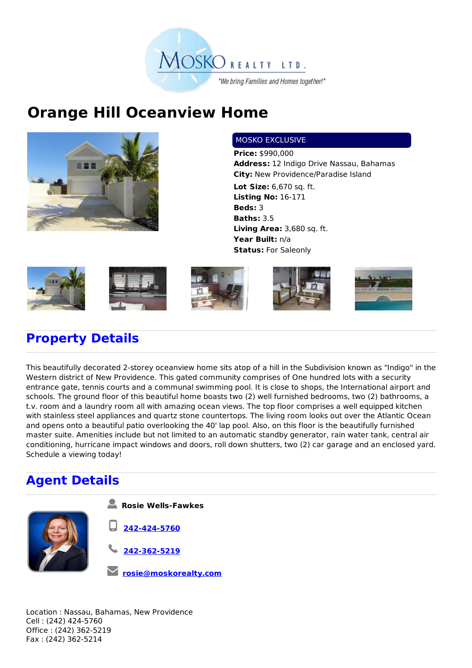

# **Orange Hill Oceanview Home**



#### MOSKO EXCLUSIVE

**Price:** \$990,000 **Address:** 12 Indigo Drive Nassau, Bahamas **City:** New Providence/Paradise Island **Lot Size:** 6,670 sq. ft. **Listing No:** 16-171 **Beds:** 3 **Baths:** 3.5 **Living Area:** 3,680 sq. ft. **Year Built:** n/a **Status:** For Saleonly











## **Property Details**

This beautifully decorated 2-storey oceanview home sits atop of a hill in the Subdivision known as "Indigo" in the Western district of New Providence. This gated community comprises of One hundred lots with a security entrance gate, tennis courts and a communal swimming pool. It is close to shops, the International airport and schools. The ground floor of this beautiful home boasts two (2) well furnished bedrooms, two (2) bathrooms, a t.v. room and a laundry room all with amazing ocean views. The top floor comprises a well equipped kitchen with stainless steel appliances and quartz stone countertops. The living room looks out over the Atlantic Ocean and opens onto a beautiful patio overlooking the 40' lap pool. Also, on this floor is the beautifully furnished master suite. Amenities include but not limited to an automatic standby generator, rain water tank, central air conditioning, hurricane impact windows and doors, roll down shutters, two (2) car garage and an enclosed yard. Schedule a viewing today!

### **Agent Details**



Location : Nassau, Bahamas, New Providence Cell : (242) 424-5760 Office : (242) 362-5219 Fax : (242) 362-5214